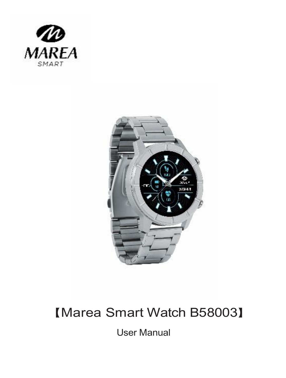



### 【Marea Smart Watch B58003】

User Manual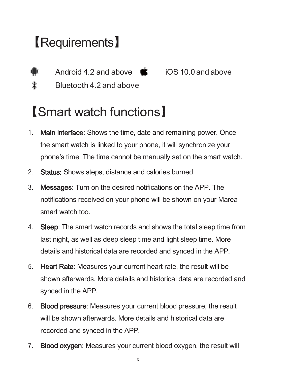### 【Requirements】

ă

Android 4.2 and above  $\bullet$  iOS 10.0 and above

 $\ddot{\textbf{r}}$ Bluetooth 4.2 and above

### 【Smart watch functions】

- 1. Main interface: Shows the time, date and remaining power. Once the smart watch is linked to your phone, it will synchronize your phone's time. The time cannot be manually set on the smart watch.
- 2. **Status:** Shows steps, distance and calories burned.
- 3. Messages: Turn on the desired notifications on the APP. The notifications received on your phone will be shown on your Marea smart watch too.
- 4. **Sleep:** The smart watch records and shows the total sleep time from last night, as well as deep sleep time and light sleep time. More details and historical data are recorded and synced in the APP.
- 5. Heart Rate: Measures your current heart rate, the result will be shown afterwards. More details and historical data are recorded and synced in the APP.
- 6. Blood pressure: Measures your current blood pressure, the result will be shown afterwards. More details and historical data are recorded and synced in the APP.
- 7. Blood oxygen: Measures your current blood oxygen, the result will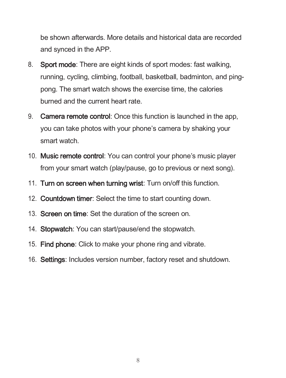be shown afterwards. More details and historical data are recorded and synced in the APP.

- 8. Sport mode: There are eight kinds of sport modes: fast walking, running, cycling, climbing, football, basketball, badminton, and pingpong. The smart watch shows the exercise time, the calories burned and the current heart rate.
- 9. **Camera remote control:** Once this function is launched in the app. you can take photos with your phone's camera by shaking your smart watch.
- 10. Music remote control: You can control your phone's music player from your smart watch (play/pause, go to previous or next song).
- 11. Turn on screen when turning wrist: Turn on/off this function.
- 12. Countdown timer: Select the time to start counting down.
- 13. Screen on time: Set the duration of the screen on.
- 14. Stopwatch: You can start/pause/end the stopwatch.
- 15. Find phone: Click to make your phone ring and vibrate.
- 16. Settings: Includes version number, factory reset and shutdown.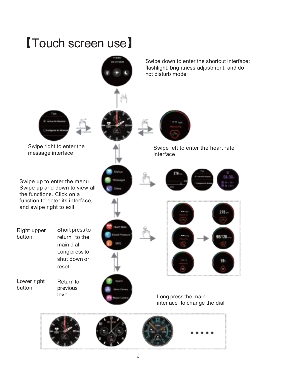## 【Touch screen use】

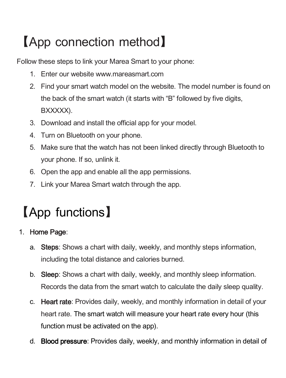## 【App connection method】

Follow these steps to link your Marea Smart to your phone:

- 1. Enter our websit[e www.mareasmart.com](http://www.mareasmart.com/)
- 2. Find your smart watch model on the website. The model number is found on the back of the smart watch (it starts with "B" followed by five digits, BXXXXX).
- 3. Download and install the official app for your model.
- 4. Turn on Bluetooth on your phone.
- 5. Make sure that the watch has not been linked directly through Bluetooth to your phone. If so, unlink it.
- 6. Open the app and enable all the app permissions.
- 7. Link your Marea Smart watch through the app.

## 【App functions】

#### 1. Home Page:

- a. Steps: Shows a chart with daily, weekly, and monthly steps information. including the total distance and calories burned.
- b. Sleep: Shows a chart with daily, weekly, and monthly sleep information. Records the data from the smart watch to calculate the daily sleep quality.
- c. Heart rate: Provides daily, weekly, and monthly information in detail of your heart rate. The smart watch will measure your heart rate every hour (this function must be activated on the app).
- d. **Blood pressure**: Provides daily, weekly, and monthly information in detail of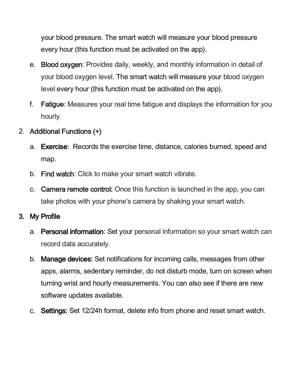your blood pressure. The smart watch will measure your blood pressure every hour (this function must be activated on the app).

- e. **Blood oxygen:** Provides daily, weekly, and monthly information in detail of your blood oxygen level. The smart watch will measure your blood oxygen level every hour (this function must be activated on the app).
- f. **Fatigue**: Measures your real time fatigue and displays the information for you hourly.

#### 2. Additional Functions (+)

- a. **Exercise**: Records the exercise time, distance, calories burned, speed and map.
- b. Find watch: Click to make your smart watch vibrate.
- c. **Camera remote control:** Once this function is launched in the app, you can take photos with your phone's camera by shaking your smart watch.

#### 3. My Profile

- a. Personal information: Set your personal information so your smart watch can record data accurately.
- b. **Manage devices:** Set notifications for incoming calls, messages from other apps, alarms, sedentary reminder, do not disturb mode, turn on screen when turning wrist and hourly measurements. You can also see if there are new software updates available.
- c. Settings: Set 12/24h format, delete info from phone and reset smart watch.